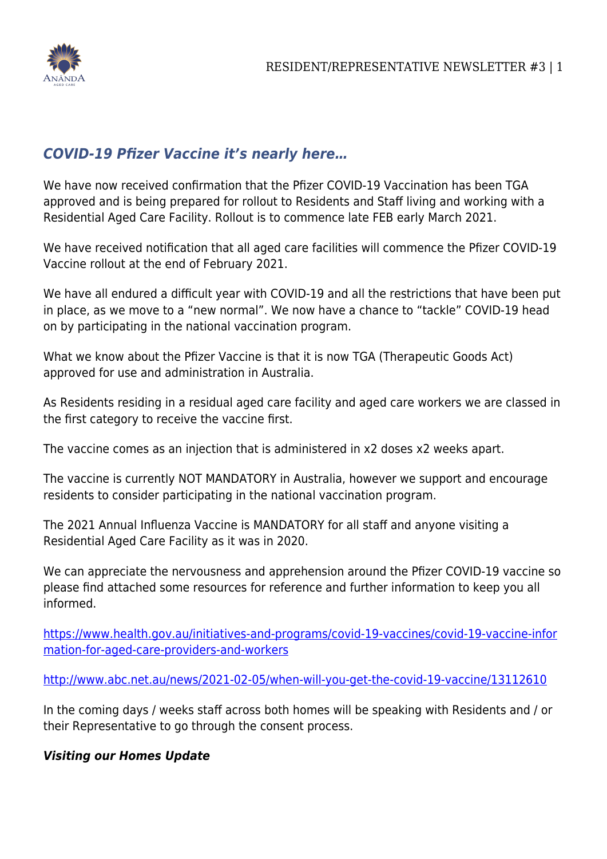# *COVID-19 Pfizer Vaccine it's nearly here…*

We have now received confirmation that the Pfizer COVID-19 Vaccination has been TGA approved and is being prepared for rollout to Residents and Staff living and working with a Residential Aged Care Facility. Rollout is to commence late FEB early March 2021.

We have received notification that all aged care facilities will commence the Pfizer COVID-19 Vaccine rollout at the end of February 2021.

We have all endured a difficult year with COVID-19 and all the restrictions that have been put in place, as we move to a "new normal". We now have a chance to "tackle" COVID-19 head on by participating in the national vaccination program.

What we know about the Pfizer Vaccine is that it is now TGA (Therapeutic Goods Act) approved for use and administration in Australia.

As Residents residing in a residual aged care facility and aged care workers we are classed in the first category to receive the vaccine first.

The vaccine comes as an injection that is administered in x2 doses x2 weeks apart.

The vaccine is currently NOT MANDATORY in Australia, however we support and encourage residents to consider participating in the national vaccination program.

The 2021 Annual Influenza Vaccine is MANDATORY for all staff and anyone visiting a Residential Aged Care Facility as it was in 2020.

We can appreciate the nervousness and apprehension around the Pfizer COVID-19 vaccine so please find attached some resources for reference and further information to keep you all informed.

[https://www.health.gov.au/initiatives-and-programs/covid-19-vaccines/covid-19-vaccine-infor](https://www.health.gov.au/initiatives-and-programs/covid-19-vaccines/covid-19-vaccine-information-for-aged-care-providers-and-workers) [mation-for-aged-care-providers-and-workers](https://www.health.gov.au/initiatives-and-programs/covid-19-vaccines/covid-19-vaccine-information-for-aged-care-providers-and-workers)

<http://www.abc.net.au/news/2021-02-05/when-will-you-get-the-covid-19-vaccine/13112610>

In the coming days / weeks staff across both homes will be speaking with Residents and / or their Representative to go through the consent process.

### *Visiting our Homes Update*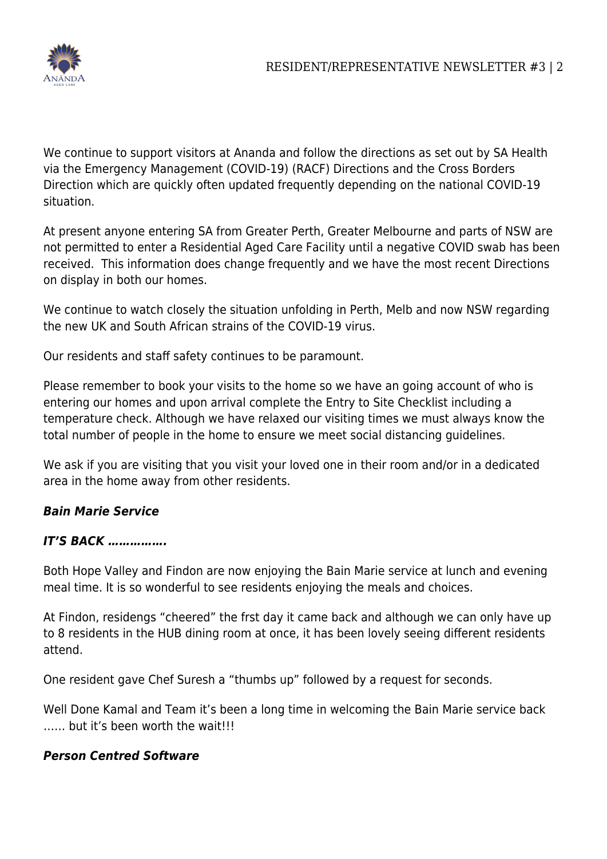

We continue to support visitors at Ananda and follow the directions as set out by SA Health via the Emergency Management (COVID-19) (RACF) Directions and the Cross Borders Direction which are quickly often updated frequently depending on the national COVID-19 situation.

At present anyone entering SA from Greater Perth, Greater Melbourne and parts of NSW are not permitted to enter a Residential Aged Care Facility until a negative COVID swab has been received. This information does change frequently and we have the most recent Directions on display in both our homes.

We continue to watch closely the situation unfolding in Perth, Melb and now NSW regarding the new UK and South African strains of the COVID-19 virus.

Our residents and staff safety continues to be paramount.

Please remember to book your visits to the home so we have an going account of who is entering our homes and upon arrival complete the Entry to Site Checklist including a temperature check. Although we have relaxed our visiting times we must always know the total number of people in the home to ensure we meet social distancing guidelines.

We ask if you are visiting that you visit your loved one in their room and/or in a dedicated area in the home away from other residents.

# *Bain Marie Service*

# *IT'S BACK …………….*

Both Hope Valley and Findon are now enjoying the Bain Marie service at lunch and evening meal time. It is so wonderful to see residents enjoying the meals and choices.

At Findon, residengs "cheered" the frst day it came back and although we can only have up to 8 residents in the HUB dining room at once, it has been lovely seeing different residents attend.

One resident gave Chef Suresh a "thumbs up" followed by a request for seconds.

Well Done Kamal and Team it's been a long time in welcoming the Bain Marie service back …… but it's been worth the wait!!!

### *Person Centred Software*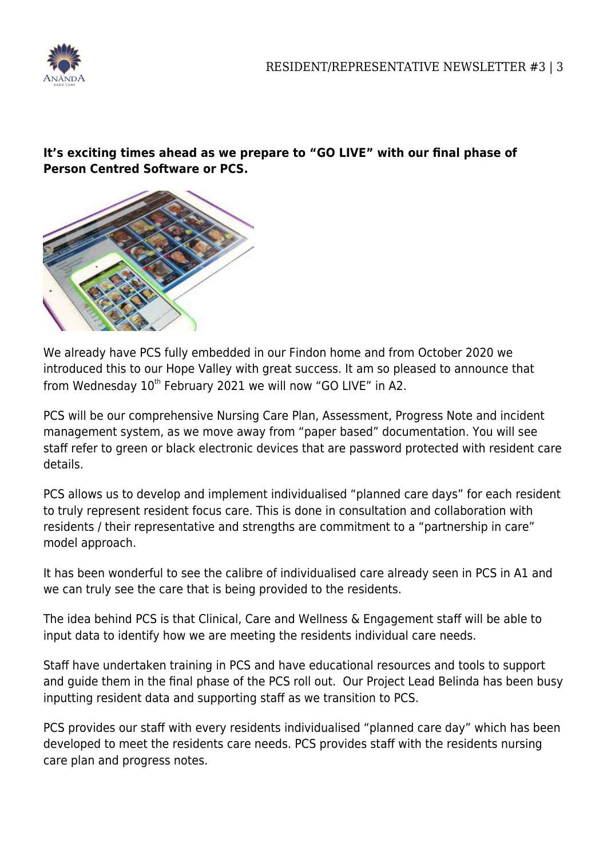**It's exciting times ahead as we prepare to "GO LIVE" with our final phase of Person Centred Software or PCS.**



We already have PCS fully embedded in our Findon home and from October 2020 we introduced this to our Hope Valley with great success. It am so pleased to announce that from Wednesday  $10^{th}$  February 2021 we will now "GO LIVE" in A2.

PCS will be our comprehensive Nursing Care Plan, Assessment, Progress Note and incident management system, as we move away from "paper based" documentation. You will see staff refer to green or black electronic devices that are password protected with resident care details.

PCS allows us to develop and implement individualised "planned care days" for each resident to truly represent resident focus care. This is done in consultation and collaboration with residents / their representative and strengths are commitment to a "partnership in care" model approach.

It has been wonderful to see the calibre of individualised care already seen in PCS in A1 and we can truly see the care that is being provided to the residents.

The idea behind PCS is that Clinical, Care and Wellness & Engagement staff will be able to input data to identify how we are meeting the residents individual care needs.

Staff have undertaken training in PCS and have educational resources and tools to support and guide them in the final phase of the PCS roll out. Our Project Lead Belinda has been busy inputting resident data and supporting staff as we transition to PCS.

PCS provides our staff with every residents individualised "planned care day" which has been developed to meet the residents care needs. PCS provides staff with the residents nursing care plan and progress notes.